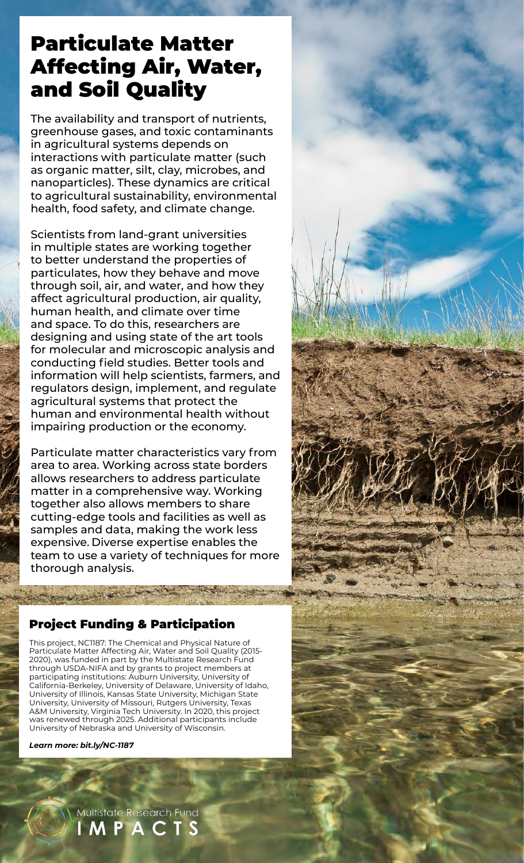## Particulate Matter Affecting Air, Water, and Soil Quality

The availability and transport of nutrients, greenhouse gases, and toxic contaminants in agricultural systems depends on interactions with particulate matter (such as organic matter, silt, clay, microbes, and nanoparticles). These dynamics are critical to agricultural sustainability, environmental health, food safety, and climate change.

Scientists from land-grant universities in multiple states are working together to better understand the properties of particulates, how they behave and move through soil, air, and water, and how they affect agricultural production, air quality, human health, and climate over time and space. To do this, researchers are designing and using state of the art tools for molecular and microscopic analysis and conducting field studies. Better tools and information will help scientists, farmers, and regulators design, implement, and regulate agricultural systems that protect the human and environmental health without impairing production or the economy.

Particulate matter characteristics vary from area to area. Working across state borders allows researchers to address particulate matter in a comprehensive way. Working together also allows members to share cutting-edge tools and facilities as well as samples and data, making the work less expensive. Diverse expertise enables the team to use a variety of techniques for more thorough analysis.

## Project Funding & Participation

This project, NC1187: The Chemical and Physical Nature of Particulate Matter Affecting Air, Water and Soil Quality (2015- 2020), was funded in part by the Multistate Research Fund through USDA-NIFA and by grants to project members at participating institutions: Auburn University, University of California-Berkeley, University of Delaware, University of Idaho, University of Illinois, Kansas State University, Michigan State University, University of Missouri, Rutgers University, Texas A&M University, Virginia Tech University. In 2020, this project was renewed through 2025. Additional participants include University of Nebraska and University of Wisconsin.

*Learn more: [bit.ly/NC-1187](http://bit.ly/NC-1187)*

Multistate Research Fund **MPACTS**